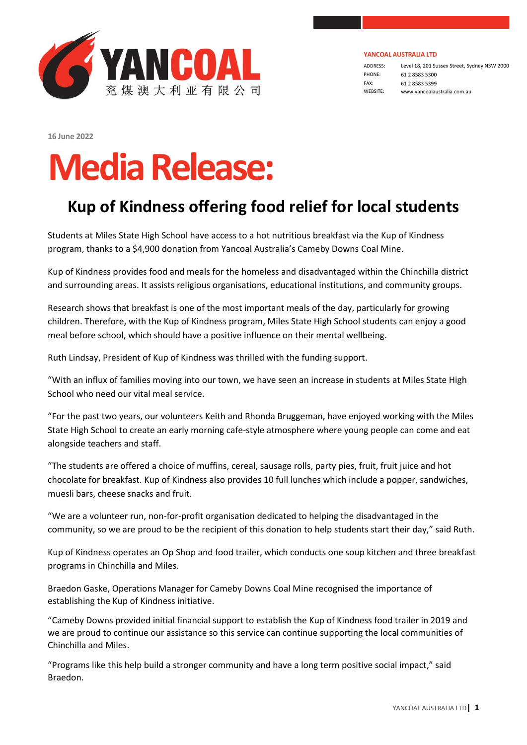

ADDRESS: Level 18, 201 Sussex Street, Sydney NSW 2000 PHONE: 61 2 8583 5300 FAX: 61 2 8583 5399 WEBSITE: www.yancoalaustralia.com.au

**16 June 2022** 

## **MediaRelease:**

## **Kup of Kindness offering food relief for local students**

Students at Miles State High School have access to a hot nutritious breakfast via the Kup of Kindness program, thanks to a \$4,900 donation from Yancoal Australia's Cameby Downs Coal Mine.

Kup of Kindness provides food and meals for the homeless and disadvantaged within the Chinchilla district and surrounding areas. It assists religious organisations, educational institutions, and community groups.

Research shows that breakfast is one of the most important meals of the day, particularly for growing children. Therefore, with the Kup of Kindness program, Miles State High School students can enjoy a good meal before school, which should have a positive influence on their mental wellbeing.

Ruth Lindsay, President of Kup of Kindness was thrilled with the funding support.

"With an influx of families moving into our town, we have seen an increase in students at Miles State High School who need our vital meal service.

"For the past two years, our volunteers Keith and Rhonda Bruggeman, have enjoyed working with the Miles State High School to create an early morning cafe-style atmosphere where young people can come and eat alongside teachers and staff.

"The students are offered a choice of muffins, cereal, sausage rolls, party pies, fruit, fruit juice and hot chocolate for breakfast. Kup of Kindness also provides 10 full lunches which include a popper, sandwiches, muesli bars, cheese snacks and fruit.

"We are a volunteer run, non-for-profit organisation dedicated to helping the disadvantaged in the community, so we are proud to be the recipient of this donation to help students start their day," said Ruth.

Kup of Kindness operates an Op Shop and food trailer, which conducts one soup kitchen and three breakfast programs in Chinchilla and Miles.

Braedon Gaske, Operations Manager for Cameby Downs Coal Mine recognised the importance of establishing the Kup of Kindness initiative.

"Cameby Downs provided initial financial support to establish the Kup of Kindness food trailer in 2019 and we are proud to continue our assistance so this service can continue supporting the local communities of Chinchilla and Miles.

"Programs like this help build a stronger community and have a long term positive social impact," said Braedon.